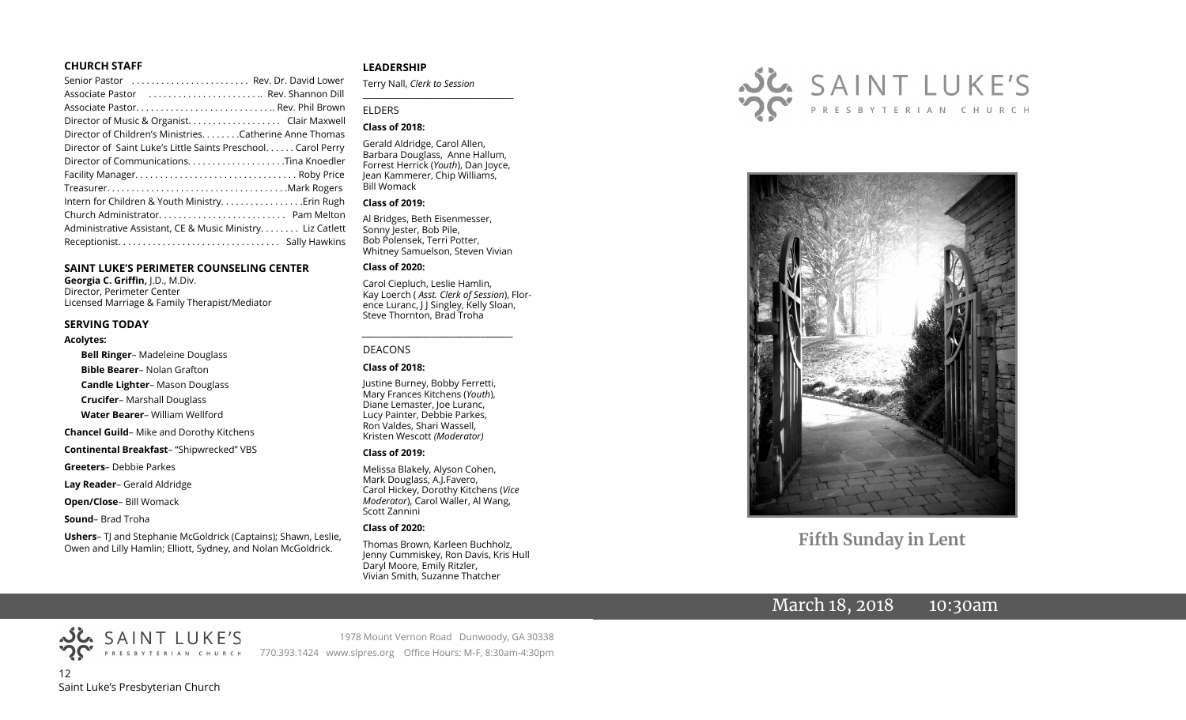#### **CHURCH STAFF**

| Senior Pastor  Rev. Dr. David Lower                          |  |
|--------------------------------------------------------------|--|
| Associate Pastor  Rev. Shannon Dill                          |  |
|                                                              |  |
|                                                              |  |
| Director of Children's Ministries. Catherine Anne Thomas     |  |
| Director of Saint Luke's Little Saints Preschool Carol Perry |  |
|                                                              |  |
|                                                              |  |
|                                                              |  |
|                                                              |  |
|                                                              |  |
| Administrative Assistant, CE & Music Ministry Liz Catlett    |  |
|                                                              |  |
|                                                              |  |

#### **SAINT LUKE'S PERIMETER COUNSELING CENTER**

**Georgia C. Griffin,** J.D., M.Div. Director, Perimeter Center Licensed Marriage & Family Therapist/Mediator

#### **SERVING TODAY**

#### **Acolytes:**

**Bell Ringer**– Madeleine Douglass **Bible Bearer**– Nolan Grafton **Candle Lighter**– Mason Douglass **Crucifer**– Marshall Douglass **Water Bearer**– William Wellford **Chancel Guild**– Mike and Dorothy Kitchens **Continental Breakfast**– "Shipwrecked" VBS **Greeters**– Debbie Parkes **Lay Reader**– Gerald Aldridge

**Open/Close**– Bill Womack

**Sound**– Brad Troha

**Ushers**– TJ and Stephanie McGoldrick (Captains); Shawn, Leslie, Owen and Lilly Hamlin; Elliott, Sydney, and Nolan McGoldrick.

#### **LEADERSHIP**

Terry Nall, *Clerk to Session* 

#### ELDERS

#### **Class of 2018:**

Gerald Aldridge, Carol Allen, Barbara Douglass, Anne Hallum, Forrest Herrick (*Youth*), Dan Joyce, Jean Kammerer, Chip Williams, Bill Womack

**\_\_\_\_\_\_\_\_\_\_\_\_\_\_\_\_\_\_\_\_\_\_\_\_\_\_\_\_\_\_\_\_\_\_\_\_\_\_\_**

#### **Class of 2019:**

Al Bridges, Beth Eisenmesser, Sonny Jester, Bob Pile, Bob Polensek, Terri Potter, Whitney Samuelson, Steven Vivian

#### **Class of 2020:**

Carol Ciepluch, Leslie Hamlin, Kay Loerch ( *Asst. Clerk of Session*), Florence Luranc, J J Singley, Kelly Sloan, Steve Thornton, Brad Troha

*\_\_\_\_\_\_\_\_\_\_\_\_\_\_\_\_\_\_\_\_\_\_\_\_\_\_\_\_\_\_\_\_\_\_\_\_\_*

#### DEACONS

#### **Class of 2018:**

Justine Burney, Bobby Ferretti, Mary Frances Kitchens (*Youth*), Diane Lemaster, Joe Luranc, Lucy Painter, Debbie Parkes, Ron Valdes, Shari Wassell, Kristen Wescott *(Moderator)*

#### **Class of 2019:**

Melissa Blakely, Alyson Cohen, Mark Douglass, A.J.Favero, Carol Hickey, Dorothy Kitchens (*Vice Moderator*), Carol Waller, Al Wang, Scott Zannini

#### **Class of 2020:**

Thomas Brown, Karleen Buchholz, Jenny Cummiskey, Ron Davis, Kris Hull Daryl Moore, Emily Ritzler, Vivian Smith, Suzanne Thatcher





# **Fifth Sunday in Lent**

# March 18, 2018 10:30am



1978 Mount Vernon Road Dunwoody, GA 30338 770.393.1424 www.slpres.org Office Hours: M-F, 8:30am-4:30pm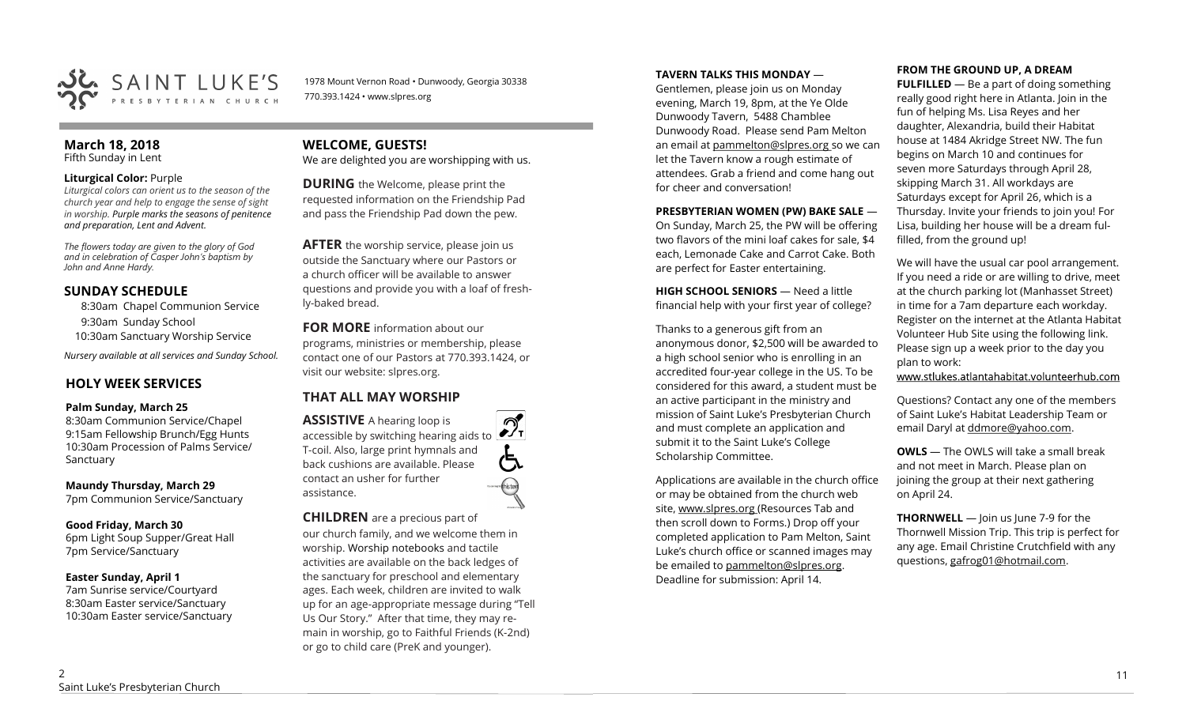

1978 Mount Vernon Road • Dunwoody, Georgia 30338 770.393.1424 • www.slpres.org

#### **March 18, 2018**  Fifth Sunday in Lent

#### **Liturgical Color:** Purple

*Liturgical colors can orient us to the season of the church year and help to engage the sense of sight in worship. Purple marks the seasons of penitence and preparation, Lent and Advent.* 

*The flowers today are given to the glory of God and in celebration of Casper John's baptism by John and Anne Hardy.* 

### **SUNDAY SCHEDULE**

8:30am Chapel Communion Service 9:30am Sunday School 10:30am Sanctuary Worship Service

*Nursery available at all services and Sunday School.* 

# **HOLY WEEK SERVICES**

#### **Palm Sunday, March 25**

8:30am Communion Service/Chapel 9:15am Fellowship Brunch/Egg Hunts 10:30am Procession of Palms Service/ Sanctuary

**Maundy Thursday, March 29**

7pm Communion Service/Sanctuary

#### **Good Friday, March 30**

6pm Light Soup Supper/Great Hall 7pm Service/Sanctuary

#### **Easter Sunday, April 1**

7am Sunrise service/Courtyard 8:30am Easter service/Sanctuary 10:30am Easter service/Sanctuary

# **WELCOME, GUESTS!**

We are delighted you are worshipping with us.

**DURING** the Welcome, please print the requested information on the Friendship Pad and pass the Friendship Pad down the pew.

**AFTER** the worship service, please join us outside the Sanctuary where our Pastors or a church officer will be available to answer questions and provide you with a loaf of freshly-baked bread.

**FOR MORE** information about our programs, ministries or membership, please contact one of our Pastors at 770.393.1424, or visit our website: slpres.org.

# **THAT ALL MAY WORSHIP**

**ASSISTIVE** A hearing loop is  $\mathcal{D}_{\mathrm{r}}$ accessible by switching hearing aids to T-coil. Also, large print hymnals and back cushions are available. Please contact an usher for further assistance.

#### **CHILDREN** are a precious part of

our church family, and we welcome them in worship. Worship notebooks and tactile activities are available on the back ledges of the sanctuary for preschool and elementary ages. Each week, children are invited to walk up for an age-appropriate message during "Tell Us Our Story." After that time, they may remain in worship, go to Faithful Friends (K-2nd) or go to child care (PreK and younger).

#### **TAVERN TALKS THIS MONDAY** —

Gentlemen, please join us on Monday evening, March 19, 8pm, at the Ye Olde Dunwoody Tavern, 5488 Chamblee Dunwoody Road. Please send Pam Melton an email at pammelton@slpres.org so we can let the Tavern know a rough estimate of attendees. Grab a friend and come hang out for cheer and conversation!

#### **PRESBYTERIAN WOMEN (PW) BAKE SALE** — On Sunday, March 25, the PW will be offering two flavors of the mini loaf cakes for sale, \$4 each, Lemonade Cake and Carrot Cake. Both are perfect for Easter entertaining.

**HIGH SCHOOL SENIORS** — Need a little financial help with your first year of college?

Thanks to a generous gift from an anonymous donor, \$2,500 will be awarded to a high school senior who is enrolling in an accredited four-year college in the US. To be considered for this award, a student must be an active participant in the ministry and mission of Saint Luke's Presbyterian Church and must complete an application and submit it to the Saint Luke's College Scholarship Committee.

Applications are available in the church office or may be obtained from the church web site, www.slpres.org (Resources Tab and then scroll down to Forms.) Drop off your completed application to Pam Melton, Saint Luke's church office or scanned images may be emailed to [pammelton@slpres.org.](mailto:pammelton@slpres.org)  Deadline for submission: April 14.

#### **FROM THE GROUND UP, A DREAM**

**FULFILLED** — Be a part of doing something really good right here in Atlanta. Join in the fun of helping Ms. Lisa Reyes and her daughter, Alexandria, build their Habitat house at 1484 Akridge Street NW. The fun begins on March 10 and continues for seven more Saturdays through April 28, skipping March 31. All workdays are Saturdays except for April 26, which is a Thursday. Invite your friends to join you! For Lisa, building her house will be a dream fulfilled, from the ground up!

We will have the usual car pool arrangement. If you need a ride or are willing to drive, meet at the church parking lot (Manhasset Street) in time for a 7am departure each workday. Register on the internet at the Atlanta Habitat Volunteer Hub Site using the following link. Please sign up a week prior to the day you plan to work:

www.stlukes.atlantahabitat.volunteerhub.com

Questions? Contact any one of the members of Saint Luke's Habitat Leadership Team or email Daryl at ddmore@yahoo.com.

**OWLS** — The OWLS will take a small break and not meet in March. Please plan on joining the group at their next gathering on April 24.

**THORNWELL** — Join us June 7-9 for the Thornwell Mission Trip. This trip is perfect for any age. Email Christine Crutchfield with any questions, gafrog01@hotmail.com.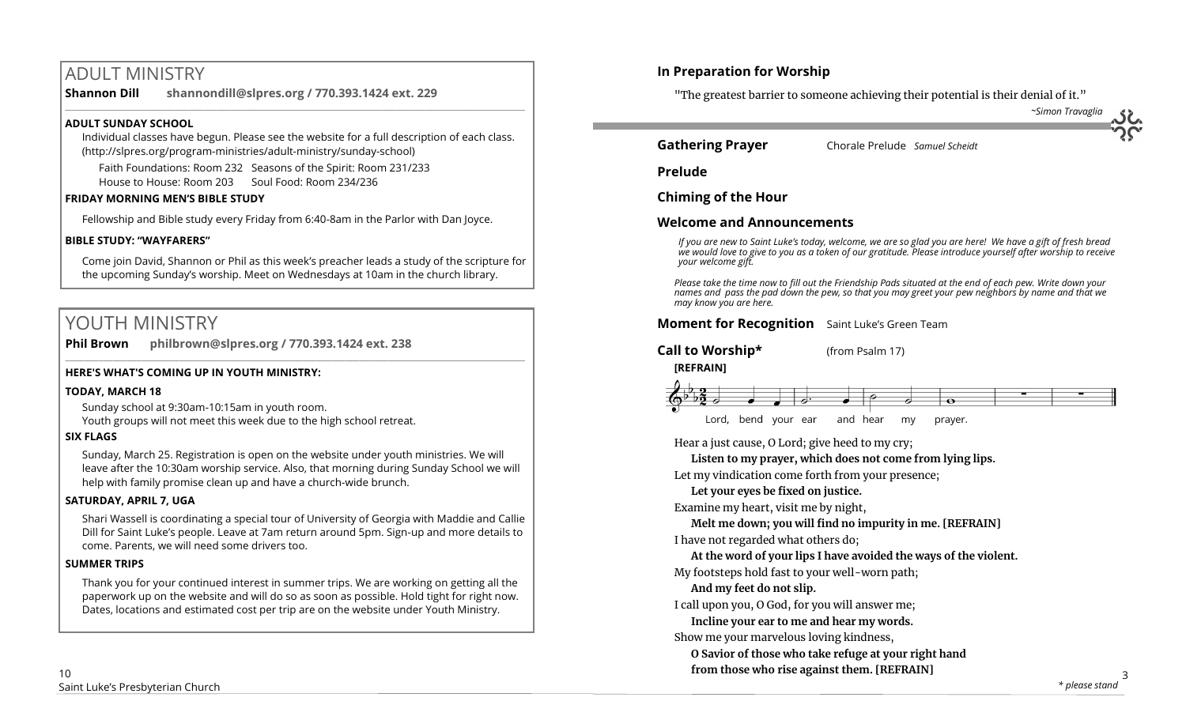# ADULT MINISTRY

**Shannon Dill shannondill@slpres.org / 770.393.1424 ext. 229**   $\_$  ,  $\_$  ,  $\_$  ,  $\_$  ,  $\_$  ,  $\_$  ,  $\_$  ,  $\_$  ,  $\_$  ,  $\_$  ,  $\_$  ,  $\_$  ,  $\_$  ,  $\_$  ,  $\_$  ,  $\_$  ,  $\_$  ,  $\_$  ,  $\_$  ,  $\_$ 

### **ADULT SUNDAY SCHOOL**

Individual classes have begun. Please see the website for a full description of each class. (http://slpres.org/program-ministries/adult-ministry/sunday-school)

Faith Foundations: Room 232 Seasons of the Spirit: Room 231/233 House to House: Room 203 Soul Food: Room 234/236

#### **FRIDAY MORNING MEN'S BIBLE STUDY**

Fellowship and Bible study every Friday from 6:40-8am in the Parlor with Dan Joyce.

### **BIBLE STUDY: "WAYFARERS"**

Come join David, Shannon or Phil as this week's preacher leads a study of the scripture for the upcoming Sunday's worship. Meet on Wednesdays at 10am in the church library.

# YOUTH MINISTRY

**Phil Brown philbrown@slpres.org / 770.393.1424 ext. 238**   $\_$  , and the state of the state of the state of the state of the state of the state of the state of the state of the state of the state of the state of the state of the state of the state of the state of the state of the

# **HERE'S WHAT'S COMING UP IN YOUTH MINISTRY:**

### **TODAY, MARCH 18**

Sunday school at 9:30am-10:15am in youth room.

Youth groups will not meet this week due to the high school retreat.

### **SIX FLAGS**

Sunday, March 25. Registration is open on the website under youth ministries. We will leave after the 10:30am worship service. Also, that morning during Sunday School we will help with family promise clean up and have a church-wide brunch.

### **SATURDAY, APRIL 7, UGA**

Shari Wassell is coordinating a special tour of University of Georgia with Maddie and Callie Dill for Saint Luke's people. Leave at 7am return around 5pm. Sign-up and more details to come. Parents, we will need some drivers too.

### **SUMMER TRIPS**

Thank you for your continued interest in summer trips. We are working on getting all the paperwork up on the website and will do so as soon as possible. Hold tight for right now. Dates, locations and estimated cost per trip are on the website under Youth Ministry.

"The greatest barrier to someone achieving their potential is their denial of it."

*~Simon Travaglia*

**Gathering Prayer** Chorale Prelude *Samuel Scheidt*

**Prelude**

**Chiming of the Hour**

# **Welcome and Announcements**

*If you are new to Saint Luke's today, welcome, we are so glad you are here! We have a gift of fresh bread we would love to give to you as a token of our gratitude. Please introduce yourself after worship to receive your welcome gift.*

*Please take the time now to fill out the Friendship Pads situated at the end of each pew. Write down your names and pass the pad down the pew, so that you may greet your pew neighbors by name and that we may know you are here.*

# **Moment for Recognition** Saint Luke's Green Team

**Call to Worship\*** (from Psalm 17)

# **[REFRAIN]**



Lord, bend your ear and hear my prayer.

Hear a just cause, O Lord; give heed to my cry;

**Listen to my prayer, which does not come from lying lips.**

Let my vindication come forth from your presence;

**Let your eyes be fixed on justice.**

Examine my heart, visit me by night,

**Melt me down; you will find no impurity in me. [REFRAIN]**

I have not regarded what others do;

**At the word of your lips I have avoided the ways of the violent.**

My footsteps hold fast to your well-worn path;

**And my feet do not slip.**

I call upon you, O God, for you will answer me;

**Incline your ear to me and hear my words.**

Show me your marvelous loving kindness,

**O Savior of those who take refuge at your right hand from those who rise against them. [REFRAIN]**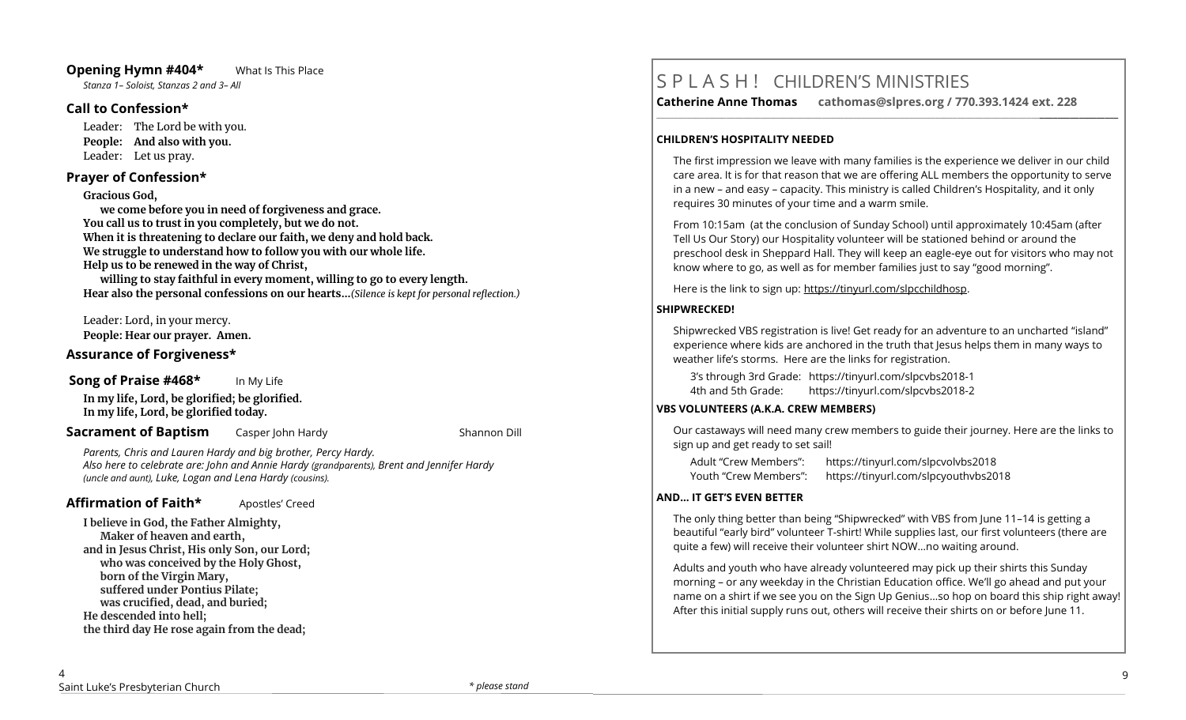# **Opening Hymn #404\*** What Is This Place

*Stanza 1– Soloist, Stanzas 2 and 3– All*

### **Call to Confession\***

Leader: The Lord be with you. **People: And also with you.** Leader: Let us pray.

### **Prayer of Confession\***

**Gracious God,**

**we come before you in need of forgiveness and grace. You call us to trust in you completely, but we do not. When it is threatening to declare our faith, we deny and hold back. We struggle to understand how to follow you with our whole life. Help us to be renewed in the way of Christ,**

**willing to stay faithful in every moment, willing to go to every length. Hear also the personal confessions on our hearts…***(Silence is kept for personal reflection.)*

Leader: Lord, in your mercy.

**People: Hear our prayer. Amen.**

### **Assurance of Forgiveness\***

# **Song of Praise #468\*** In My Life

**In my life, Lord, be glorified; be glorified. In my life, Lord, be glorified today.**

**Sacrament of Baptism** Casper John Hardy Casper Shannon Dill

*Parents, Chris and Lauren Hardy and big brother, Percy Hardy. Also here to celebrate are: John and Annie Hardy (grandparents), Brent and Jennifer Hardy (uncle and aunt), Luke, Logan and Lena Hardy (cousins).*

# **Affirmation of Faith\*** Apostles' Creed

**I believe in God, the Father Almighty, Maker of heaven and earth, and in Jesus Christ, His only Son, our Lord; who was conceived by the Holy Ghost, born of the Virgin Mary, suffered under Pontius Pilate; was crucified, dead, and buried; He descended into hell; the third day He rose again from the dead;**

# S P L A S H ! CHILDREN'S MINISTRIES

**Catherine Anne Thomas cathomas@slpres.org / 770.393.1424 ext. 228** 

**\_\_\_\_\_\_\_\_\_\_\_\_\_\_\_\_\_\_\_\_\_\_\_\_\_\_\_\_\_\_\_\_\_\_\_\_\_\_\_\_\_\_\_\_\_\_\_\_\_\_\_\_\_\_\_\_\_\_\_\_\_\_\_\_\_\_\_\_\_\_\_\_\_\_\_\_\_\_\_\_\_\_\_\_\_\_\_\_\_\_\_\_\_\_\_\_\_\_\_\_\_\_\_\_\_\_** 

#### **CHILDREN'S HOSPITALITY NEEDED**

The first impression we leave with many families is the experience we deliver in our child care area. It is for that reason that we are offering ALL members the opportunity to serve in a new – and easy – capacity. This ministry is called Children's Hospitality, and it only requires 30 minutes of your time and a warm smile.

From 10:15am (at the conclusion of Sunday School) until approximately 10:45am (after Tell Us Our Story) our Hospitality volunteer will be stationed behind or around the preschool desk in Sheppard Hall. They will keep an eagle-eye out for visitors who may not know where to go, as well as for member families just to say "good morning".

Here is the link to sign up: https://tinyurl.com/slpcchildhosp.

# **SHIPWRECKED!**

Shipwrecked VBS registration is live! Get ready for an adventure to an uncharted "island" experience where kids are anchored in the truth that Jesus helps them in many ways to weather life's storms. Here are the links for registration.

3's through 3rd Grade: https://tinyurl.com/slpcvbs2018-1 4th and 5th Grade: https://tinyurl.com/slpcvbs2018-2

### **VBS VOLUNTEERS (A.K.A. CREW MEMBERS)**

Our castaways will need many crew members to guide their journey. Here are the links to sign up and get ready to set sail!

| Adult "Crew Members": | https://tinyurl.com/slpcvolvbs2018   |
|-----------------------|--------------------------------------|
| Youth "Crew Members": | https://tinyurl.com/slpcyouthvbs2018 |

### **AND... IT GET'S EVEN BETTER**

The only thing better than being "Shipwrecked" with VBS from June 11–14 is getting a beautiful "early bird" volunteer T-shirt! While supplies last, our first volunteers (there are quite a few) will receive their volunteer shirt NOW…no waiting around.

Adults and youth who have already volunteered may pick up their shirts this Sunday morning – or any weekday in the Christian Education office. We'll go ahead and put your name on a shirt if we see you on the Sign Up Genius…so hop on board this ship right away! After this initial supply runs out, others will receive their shirts on or before June 11.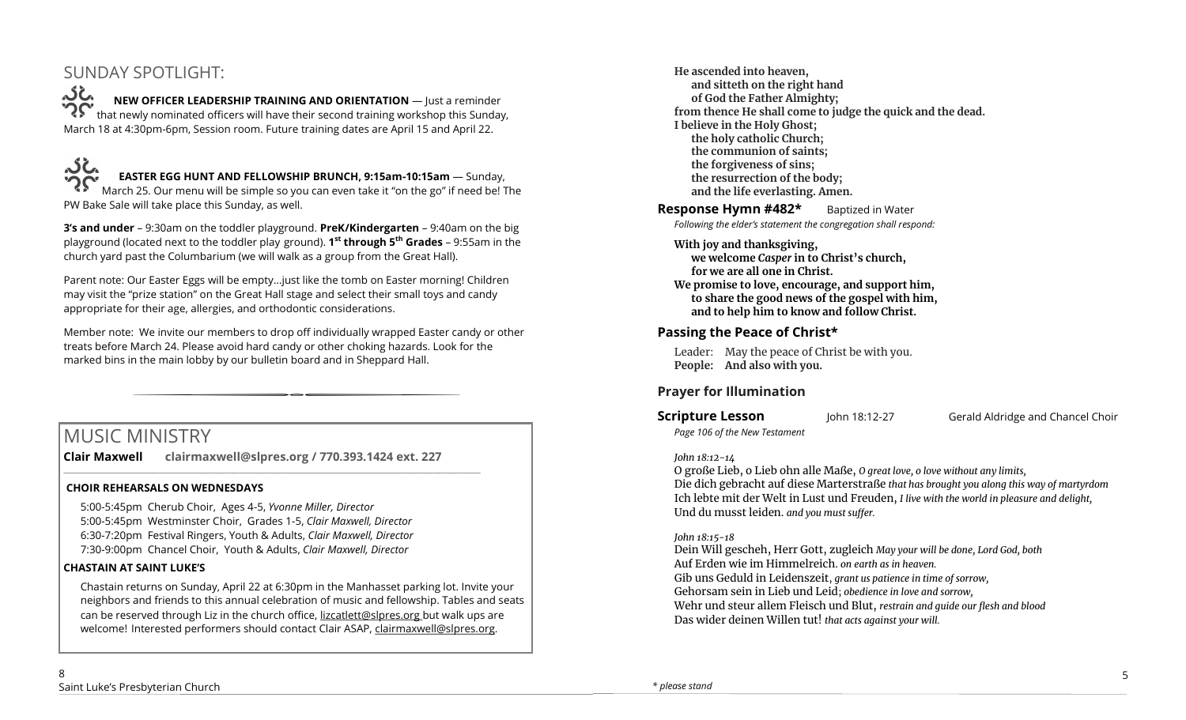# SUNDAY SPOTLIGHT:

**NEW OFFICER LEADERSHIP TRAINING AND ORIENTATION** — Just a reminder that newly nominated officers will have their second training workshop this Sunday, March 18 at 4:30pm-6pm, Session room. Future training dates are April 15 and April 22.



# **EASTER EGG HUNT AND FELLOWSHIP BRUNCH, 9:15am-10:15am** — Sunday,

March 25. Our menu will be simple so you can even take it "on the go" if need be! The PW Bake Sale will take place this Sunday, as well.

**3's and under** – 9:30am on the toddler playground. **PreK/Kindergarten** – 9:40am on the big playground (located next to the toddler play ground). **1 st through 5th Grades** – 9:55am in the church yard past the Columbarium (we will walk as a group from the Great Hall).

Parent note: Our Easter Eggs will be empty…just like the tomb on Easter morning! Children may visit the "prize station" on the Great Hall stage and select their small toys and candy appropriate for their age, allergies, and orthodontic considerations.

Member note: We invite our members to drop off individually wrapped Easter candy or other treats before March 24. Please avoid hard candy or other choking hazards. Look for the marked bins in the main lobby by our bulletin board and in Sheppard Hall.

# MUSIC MINISTRY

**Clair Maxwell clairmaxwell@slpres.org / 770.393.1424 ext. 227** 

\_\_\_\_\_\_\_\_\_\_\_\_\_\_\_\_\_\_\_\_\_\_\_\_\_\_\_\_\_\_\_\_\_\_\_\_\_\_\_\_\_\_\_\_\_\_\_\_\_\_\_\_\_\_\_\_\_\_\_\_\_\_\_\_\_\_\_\_\_\_\_\_\_\_\_\_\_\_\_\_\_\_\_\_\_\_\_\_

### **CHOIR REHEARSALS ON WEDNESDAYS**

5:00-5:45pm Cherub Choir, Ages 4-5, *Yvonne Miller, Director*  5:00-5:45pm Westminster Choir, Grades 1-5, *Clair Maxwell, Director*  6:30-7:20pm Festival Ringers, Youth & Adults, *Clair Maxwell, Director*  7:30-9:00pm Chancel Choir, Youth & Adults, *Clair Maxwell, Director* 

### **CHASTAIN AT SAINT LUKE'S**

Chastain returns on Sunday, April 22 at 6:30pm in the Manhasset parking lot. Invite your neighbors and friends to this annual celebration of music and fellowship. Tables and seats can be reserved through Liz in the church office, lizcatlett@slpres.org but walk ups are welcome! Interested performers should contact Clair ASAP, clairmaxwell@slpres.org.

**He ascended into heaven, and sitteth on the right hand of God the Father Almighty; from thence He shall come to judge the quick and the dead. I believe in the Holy Ghost; the holy catholic Church; the communion of saints; the forgiveness of sins; the resurrection of the body; and the life everlasting. Amen. Response Hymn #482\*** Baptized in Water

*Following the elder's statement the congregation shall respond:*

### **With joy and thanksgiving,**

**we welcome** *Casper* **in to Christ's church, for we are all one in Christ. We promise to love, encourage, and support him, to share the good news of the gospel with him, and to help him to know and follow Christ.**

# **Passing the Peace of Christ\***

Leader: May the peace of Christ be with you. **People: And also with you.** 

# **Prayer for Illumination**

*Page 106 of the New Testament*

**Scripture Lesson** John 18:12-27 **Gerald Aldridge and Chancel Choir** 

*John 18:12-14*

O große Lieb, o Lieb ohn alle Maße, *O great love, o love without any limits,*

Die dich gebracht auf diese Marterstraße *that has brought you along this way of martyrdom* Ich lebte mit der Welt in Lust und Freuden, *I live with the world in pleasure and delight,* Und du musst leiden. *and you must suffer.*

### *John 18:15-18*

Dein Will gescheh, Herr Gott, zugleich *May your will be done, Lord God, both* Auf Erden wie im Himmelreich. *on earth as in heaven.* Gib uns Geduld in Leidenszeit, *grant us patience in time of sorrow,* Gehorsam sein in Lieb und Leid; *obedience in love and sorrow,* Wehr und steur allem Fleisch und Blut, *restrain and guide our flesh and blood* Das wider deinen Willen tut! *that acts against your will.*